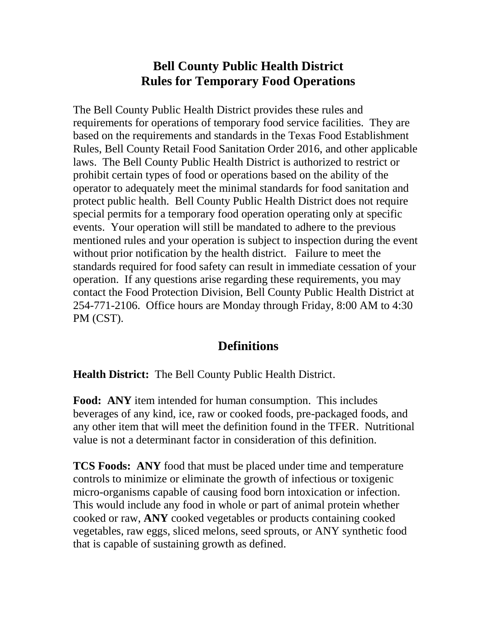## **Bell County Public Health District Rules for Temporary Food Operations**

The Bell County Public Health District provides these rules and requirements for operations of temporary food service facilities. They are based on the requirements and standards in the Texas Food Establishment Rules, Bell County Retail Food Sanitation Order 2016, and other applicable laws. The Bell County Public Health District is authorized to restrict or prohibit certain types of food or operations based on the ability of the operator to adequately meet the minimal standards for food sanitation and protect public health. Bell County Public Health District does not require special permits for a temporary food operation operating only at specific events. Your operation will still be mandated to adhere to the previous mentioned rules and your operation is subject to inspection during the event without prior notification by the health district. Failure to meet the standards required for food safety can result in immediate cessation of your operation. If any questions arise regarding these requirements, you may contact the Food Protection Division, Bell County Public Health District at 254-771-2106. Office hours are Monday through Friday, 8:00 AM to 4:30 PM (CST).

## **Definitions**

**Health District:** The Bell County Public Health District.

**Food: ANY** item intended for human consumption. This includes beverages of any kind, ice, raw or cooked foods, pre-packaged foods, and any other item that will meet the definition found in the TFER. Nutritional value is not a determinant factor in consideration of this definition.

**TCS Foods: ANY** food that must be placed under time and temperature controls to minimize or eliminate the growth of infectious or toxigenic micro-organisms capable of causing food born intoxication or infection. This would include any food in whole or part of animal protein whether cooked or raw, **ANY** cooked vegetables or products containing cooked vegetables, raw eggs, sliced melons, seed sprouts, or ANY synthetic food that is capable of sustaining growth as defined.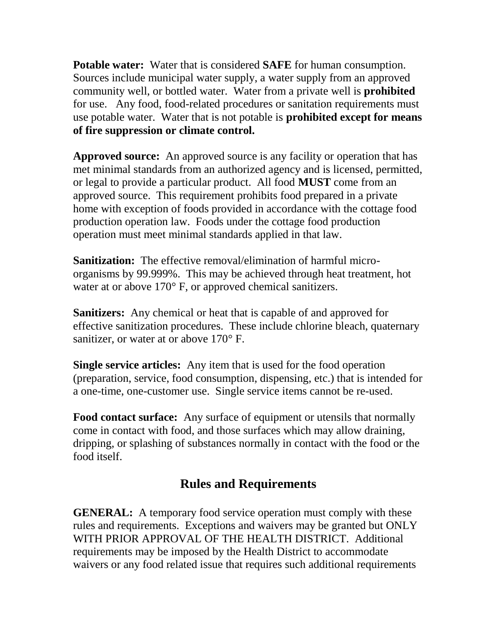**Potable water:** Water that is considered **SAFE** for human consumption. Sources include municipal water supply, a water supply from an approved community well, or bottled water. Water from a private well is **prohibited**  for use. Any food, food-related procedures or sanitation requirements must use potable water. Water that is not potable is **prohibited except for means of fire suppression or climate control.**

**Approved source:** An approved source is any facility or operation that has met minimal standards from an authorized agency and is licensed, permitted, or legal to provide a particular product. All food **MUST** come from an approved source. This requirement prohibits food prepared in a private home with exception of foods provided in accordance with the cottage food production operation law. Foods under the cottage food production operation must meet minimal standards applied in that law.

**Sanitization:** The effective removal/elimination of harmful microorganisms by 99.999%. This may be achieved through heat treatment, hot water at or above 170° F, or approved chemical sanitizers.

**Sanitizers:** Any chemical or heat that is capable of and approved for effective sanitization procedures. These include chlorine bleach, quaternary sanitizer, or water at or above 170° F.

**Single service articles:** Any item that is used for the food operation (preparation, service, food consumption, dispensing, etc.) that is intended for a one-time, one-customer use. Single service items cannot be re-used.

**Food contact surface:** Any surface of equipment or utensils that normally come in contact with food, and those surfaces which may allow draining, dripping, or splashing of substances normally in contact with the food or the food itself.

## **Rules and Requirements**

**GENERAL:** A temporary food service operation must comply with these rules and requirements. Exceptions and waivers may be granted but ONLY WITH PRIOR APPROVAL OF THE HEALTH DISTRICT. Additional requirements may be imposed by the Health District to accommodate waivers or any food related issue that requires such additional requirements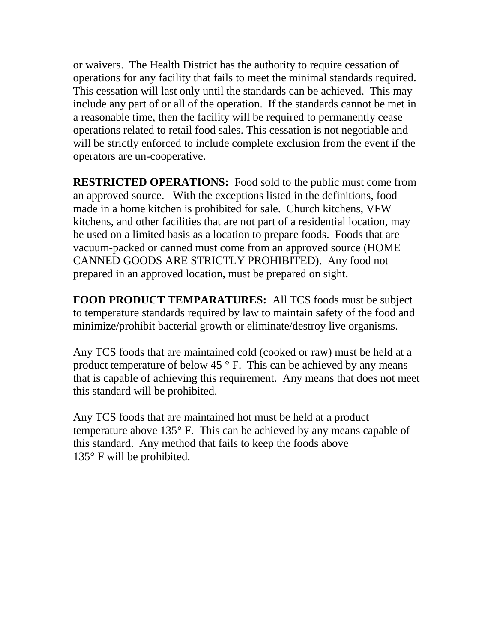or waivers. The Health District has the authority to require cessation of operations for any facility that fails to meet the minimal standards required. This cessation will last only until the standards can be achieved. This may include any part of or all of the operation. If the standards cannot be met in a reasonable time, then the facility will be required to permanently cease operations related to retail food sales. This cessation is not negotiable and will be strictly enforced to include complete exclusion from the event if the operators are un-cooperative.

**RESTRICTED OPERATIONS:** Food sold to the public must come from an approved source. With the exceptions listed in the definitions, food made in a home kitchen is prohibited for sale. Church kitchens, VFW kitchens, and other facilities that are not part of a residential location, may be used on a limited basis as a location to prepare foods. Foods that are vacuum-packed or canned must come from an approved source (HOME CANNED GOODS ARE STRICTLY PROHIBITED). Any food not prepared in an approved location, must be prepared on sight.

**FOOD PRODUCT TEMPARATURES:** All TCS foods must be subject to temperature standards required by law to maintain safety of the food and minimize/prohibit bacterial growth or eliminate/destroy live organisms.

Any TCS foods that are maintained cold (cooked or raw) must be held at a product temperature of below 45  $\degree$  F. This can be achieved by any means that is capable of achieving this requirement. Any means that does not meet this standard will be prohibited.

Any TCS foods that are maintained hot must be held at a product temperature above 135° F. This can be achieved by any means capable of this standard. Any method that fails to keep the foods above 135° F will be prohibited.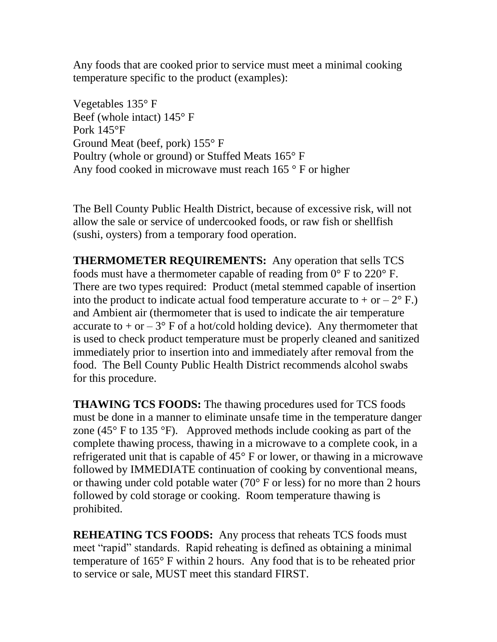Any foods that are cooked prior to service must meet a minimal cooking temperature specific to the product (examples):

Vegetables 135° F Beef (whole intact) 145° F Pork 145°F Ground Meat (beef, pork) 155° F Poultry (whole or ground) or Stuffed Meats 165° F Any food cooked in microwave must reach 165 ° F or higher

The Bell County Public Health District, because of excessive risk, will not allow the sale or service of undercooked foods, or raw fish or shellfish (sushi, oysters) from a temporary food operation.

**THERMOMETER REQUIREMENTS:** Any operation that sells TCS foods must have a thermometer capable of reading from 0° F to 220° F. There are two types required: Product (metal stemmed capable of insertion into the product to indicate actual food temperature accurate to  $+$  or  $-2^{\circ}$  F.) and Ambient air (thermometer that is used to indicate the air temperature accurate to + or  $-3^{\circ}$  F of a hot/cold holding device). Any thermometer that is used to check product temperature must be properly cleaned and sanitized immediately prior to insertion into and immediately after removal from the food. The Bell County Public Health District recommends alcohol swabs for this procedure.

**THAWING TCS FOODS:** The thawing procedures used for TCS foods must be done in a manner to eliminate unsafe time in the temperature danger zone (45 $\degree$  F to 135 $\degree$ F). Approved methods include cooking as part of the complete thawing process, thawing in a microwave to a complete cook, in a refrigerated unit that is capable of 45° F or lower, or thawing in a microwave followed by IMMEDIATE continuation of cooking by conventional means, or thawing under cold potable water (70° F or less) for no more than 2 hours followed by cold storage or cooking. Room temperature thawing is prohibited.

**REHEATING TCS FOODS:** Any process that reheats TCS foods must meet "rapid" standards. Rapid reheating is defined as obtaining a minimal temperature of 165° F within 2 hours. Any food that is to be reheated prior to service or sale, MUST meet this standard FIRST.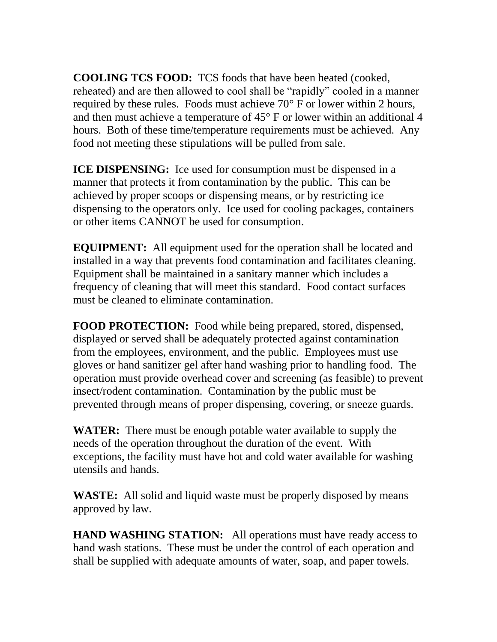**COOLING TCS FOOD:** TCS foods that have been heated (cooked, reheated) and are then allowed to cool shall be "rapidly" cooled in a manner required by these rules. Foods must achieve  $70^{\circ}$  F or lower within 2 hours, and then must achieve a temperature of 45° F or lower within an additional 4 hours. Both of these time/temperature requirements must be achieved. Any food not meeting these stipulations will be pulled from sale.

**ICE DISPENSING:** Ice used for consumption must be dispensed in a manner that protects it from contamination by the public. This can be achieved by proper scoops or dispensing means, or by restricting ice dispensing to the operators only. Ice used for cooling packages, containers or other items CANNOT be used for consumption.

**EQUIPMENT:** All equipment used for the operation shall be located and installed in a way that prevents food contamination and facilitates cleaning. Equipment shall be maintained in a sanitary manner which includes a frequency of cleaning that will meet this standard. Food contact surfaces must be cleaned to eliminate contamination.

**FOOD PROTECTION:** Food while being prepared, stored, dispensed, displayed or served shall be adequately protected against contamination from the employees, environment, and the public. Employees must use gloves or hand sanitizer gel after hand washing prior to handling food. The operation must provide overhead cover and screening (as feasible) to prevent insect/rodent contamination. Contamination by the public must be prevented through means of proper dispensing, covering, or sneeze guards.

**WATER:** There must be enough potable water available to supply the needs of the operation throughout the duration of the event. With exceptions, the facility must have hot and cold water available for washing utensils and hands.

**WASTE:** All solid and liquid waste must be properly disposed by means approved by law.

**HAND WASHING STATION:** All operations must have ready access to hand wash stations. These must be under the control of each operation and shall be supplied with adequate amounts of water, soap, and paper towels.